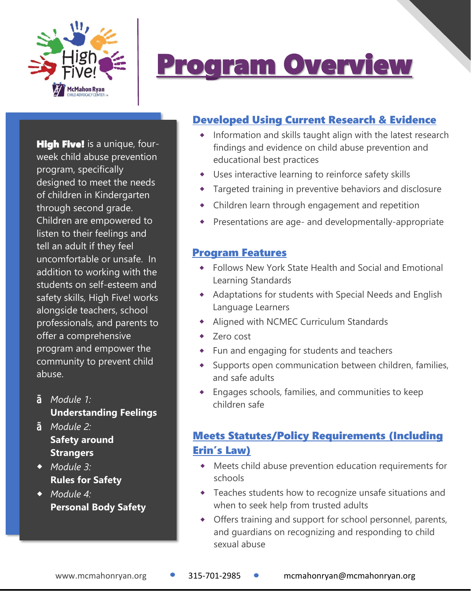

## Program Overview

**High Five!** is a unique, fourweek child abuse prevention program, specifically designed to meet the needs of children in Kindergarten through second grade. Children are empowered to listen to their feelings and tell an adult if they feel uncomfortable or unsafe. In addition to working with the students on self-esteem and safety skills, High Five! works alongside teachers, school professionals, and parents to offer a comprehensive program and empower the community to prevent child abuse.

*Module 1:* **Understanding Feelings**

**Š** *Module 2:* **Safety around Strangers** 

 *Module 3:* **Rules for Safety**

 *Module 4:* **Personal Body Safety**

### Developed Using Current Research & Evidence

- Information and skills taught align with the latest research findings and evidence on child abuse prevention and educational best practices
- Uses interactive learning to reinforce safety skills
- Targeted training in preventive behaviors and disclosure
- Children learn through engagement and repetition
- Presentations are age- and developmentally-appropriate

#### Program Features

- Follows New York State Health and Social and Emotional Learning Standards
- Adaptations for students with Special Needs and English Language Learners
- Aligned with NCMEC Curriculum Standards
- Zero cost
- Fun and engaging for students and teachers
- Supports open communication between children, families, and safe adults
- Engages schools, families, and communities to keep children safe

### Meets Statutes/Policy Requirements (Including Erin's Law)

- Meets child abuse prevention education requirements for schools
- Teaches students how to recognize unsafe situations and when to seek help from trusted adults
- Offers training and support for school personnel, parents, and guardians on recognizing and responding to child sexual abuse